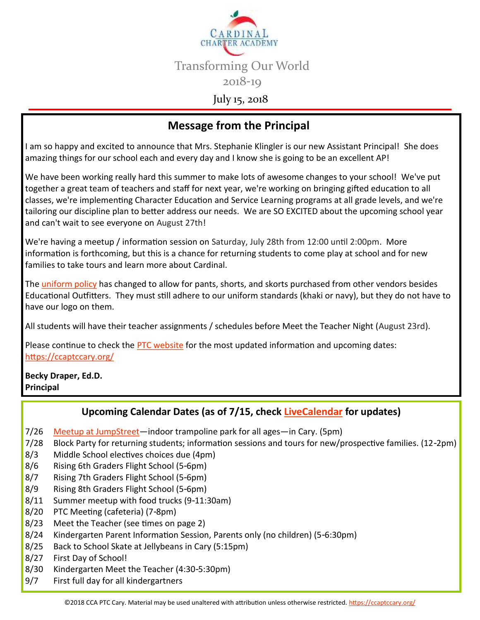

## **Message from the Principal**

I am so happy and excited to announce that Mrs. Stephanie Klingler is our new Assistant Principal! She does amazing things for our school each and every day and I know she is going to be an excellent AP!

We have been working really hard this summer to make lots of awesome changes to your school! We've put together a great team of teachers and staff for next year, we're working on bringing gifted education to all classes, we're implementing Character Education and Service Learning programs at all grade levels, and we're tailoring our discipline plan to better address our needs. We are SO EXCITED about the upcoming school year and can't wait to see everyone on August 27th!

We're having a meetup / information session on Saturday, July 28th from 12:00 until 2:00pm. More information is forthcoming, but this is a chance for returning students to come play at school and for new families to take tours and learn more about Cardinal.

The [uniform policy](https://ccaptccary.org/wp-content/uploads/2018/07/Cardinal-Uniform-Policy.pdf) has changed to allow for pants, shorts, and skorts purchased from other vendors besides Educational Outfitters. They must still adhere to our uniform standards (khaki or navy), but they do not have to have our logo on them.

All students will have their teacher assignments / schedules before Meet the Teacher Night (August 23rd).

Please continue to check the [PTC website](https://ccaptccary.org/) for the most updated information and upcoming dates: <https://ccaptccary.org/>

**Becky Draper, Ed.D. Principal**

#### **Upcoming Calendar Dates (as of 7/15, check [LiveCalendar](https://ccaptccary.org/calendar/) for updates)**

- 7/26 [Meetup at JumpStreet—i](https://ccaptccary.org/wp-content/uploads/2018/07/Cardinal-Charter-Academy-Fundraising-Flyer.pdf)ndoor trampoline park for all ages—in Cary. (5pm)
- 7/28 Block Party for returning students; information sessions and tours for new/prospective families. (12-2pm)
- 8/3 Middle School electives choices due (4pm)
- 8/6 Rising 6th Graders Flight School (5-6pm)
- 8/7 Rising 7th Graders Flight School (5-6pm)
- 8/9 Rising 8th Graders Flight School (5-6pm)
- 8/11 Summer meetup with food trucks (9-11:30am)
- 8/20 PTC Meeting (cafeteria) (7-8pm)
- 8/23 Meet the Teacher (see times on page 2)
- 8/24 Kindergarten Parent Information Session, Parents only (no children) (5-6:30pm)
- 8/25 Back to School Skate at Jellybeans in Cary (5:15pm)
- 8/27 First Day of School!
- 8/30 Kindergarten Meet the Teacher (4:30-5:30pm)
- 9/7 First full day for all kindergartners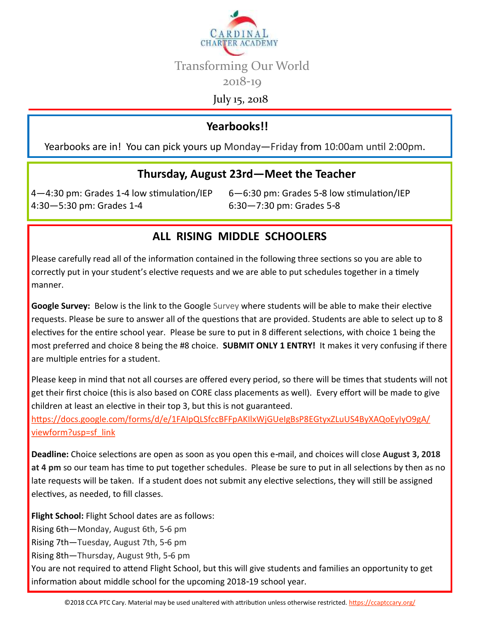

July 15, 2018

### **Yearbooks!!**

Yearbooks are in! You can pick yours up Monday—Friday from 10:00am until 2:00pm.

#### **Thursday, August 23rd—Meet the Teacher**

4—4:30 pm: Grades 1-4 low stimulation/IEP 6—6:30 pm: Grades 5-8 low stimulation/IEP 4:30—5:30 pm: Grades 1-4 6:30—7:30 pm: Grades 5-8

#### **ALL RISING MIDDLE SCHOOLERS**

Please carefully read all of the information contained in the following three sections so you are able to correctly put in your student's elective requests and we are able to put schedules together in a timely manner.

**Google Survey:** Below is the link to the Google Survey where students will be able to make their elective requests. Please be sure to answer all of the questions that are provided. Students are able to select up to 8 electives for the entire school year. Please be sure to put in 8 different selections, with choice 1 being the most preferred and choice 8 being the #8 choice. **SUBMIT ONLY 1 ENTRY!** It makes it very confusing if there are multiple entries for a student.

Please keep in mind that not all courses are offered every period, so there will be times that students will not get their first choice (this is also based on CORE class placements as well). Every effort will be made to give children at least an elective in their top 3, but this is not guaranteed.

[https://docs.google.com/forms/d/e/1FAIpQLSfccBFFpAKIlxWjGUeIgBsP8EGtyxZLuUS4ByXAQoEyIyO9gA/](https://docs.google.com/forms/d/e/1FAIpQLSfccBFFpAKIlxWjGUeIgBsP8EGtyxZLuUS4ByXAQoEyIyO9gA/viewform?usp=sf_link) [viewform?usp=sf\\_link](https://docs.google.com/forms/d/e/1FAIpQLSfccBFFpAKIlxWjGUeIgBsP8EGtyxZLuUS4ByXAQoEyIyO9gA/viewform?usp=sf_link)

**Deadline:** Choice selections are open as soon as you open this e-mail, and choices will close **August 3, 2018 at 4 pm** so our team has time to put together schedules. Please be sure to put in all selections by then as no late requests will be taken. If a student does not submit any elective selections, they will still be assigned electives, as needed, to fill classes.

**Flight School:** Flight School dates are as follows:

Rising 6th—Monday, August 6th, 5-6 pm

Rising 7th—Tuesday, August 7th, 5-6 pm

Rising 8th—Thursday, August 9th, 5-6 pm

You are not required to attend Flight School, but this will give students and families an opportunity to get information about middle school for the upcoming 2018-19 school year.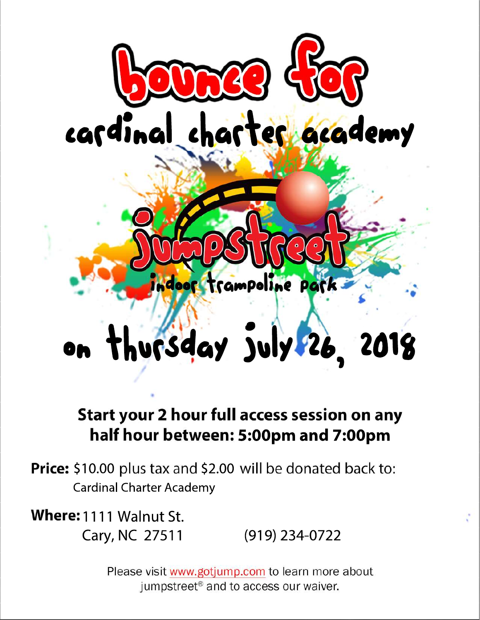

# Start your 2 hour full access session on any half hour between: 5:00pm and 7:00pm

**Price:** \$10.00 plus tax and \$2.00 will be donated back to: **Cardinal Charter Academy** 

Where: 1111 Walnut St.

Cary, NC 27511  $(919)$  234-0722

Please visit www.gotjump.com to learn more about jumpstreet<sup>®</sup> and to access our waiver.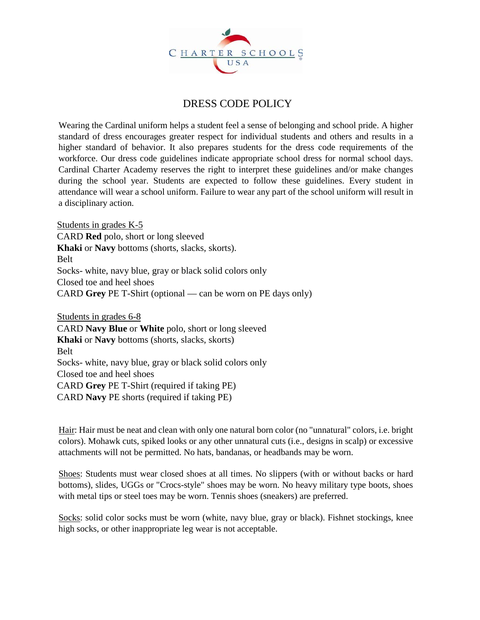

#### DRESS CODE POLICY

Wearing the Cardinal uniform helps a student feel a sense of belonging and school pride. A higher standard of dress encourages greater respect for individual students and others and results in a higher standard of behavior. It also prepares students for the dress code requirements of the workforce. Our dress code guidelines indicate appropriate school dress for normal school days. Cardinal Charter Academy reserves the right to interpret these guidelines and/or make changes during the school year. Students are expected to follow these guidelines. Every student in attendance will wear a school uniform. Failure to wear any part of the school uniform will result in a disciplinary action.

Students in grades K-5 CARD **Red** polo, short or long sleeved **Khaki** or **Navy** bottoms (shorts, slacks, skorts). Belt Socks- white, navy blue, gray or black solid colors only Closed toe and heel shoes CARD **Grey** PE T-Shirt (optional — can be worn on PE days only)

Students in grades 6-8 CARD **Navy Blue** or **White** polo, short or long sleeved **Khaki** or **Navy** bottoms (shorts, slacks, skorts) Belt Socks- white, navy blue, gray or black solid colors only Closed toe and heel shoes CARD **Grey** PE T-Shirt (required if taking PE) CARD **Navy** PE shorts (required if taking PE)

Hair: Hair must be neat and clean with only one natural born color (no "unnatural" colors, i.e. bright colors). Mohawk cuts, spiked looks or any other unnatural cuts (i.e., designs in scalp) or excessive attachments will not be permitted. No hats, bandanas, or headbands may be worn.

Shoes: Students must wear closed shoes at all times. No slippers (with or without backs or hard bottoms), slides, UGGs or "Crocs-style" shoes may be worn. No heavy military type boots, shoes with metal tips or steel toes may be worn. Tennis shoes (sneakers) are preferred.

Socks: solid color socks must be worn (white, navy blue, gray or black). Fishnet stockings, knee high socks, or other inappropriate leg wear is not acceptable.